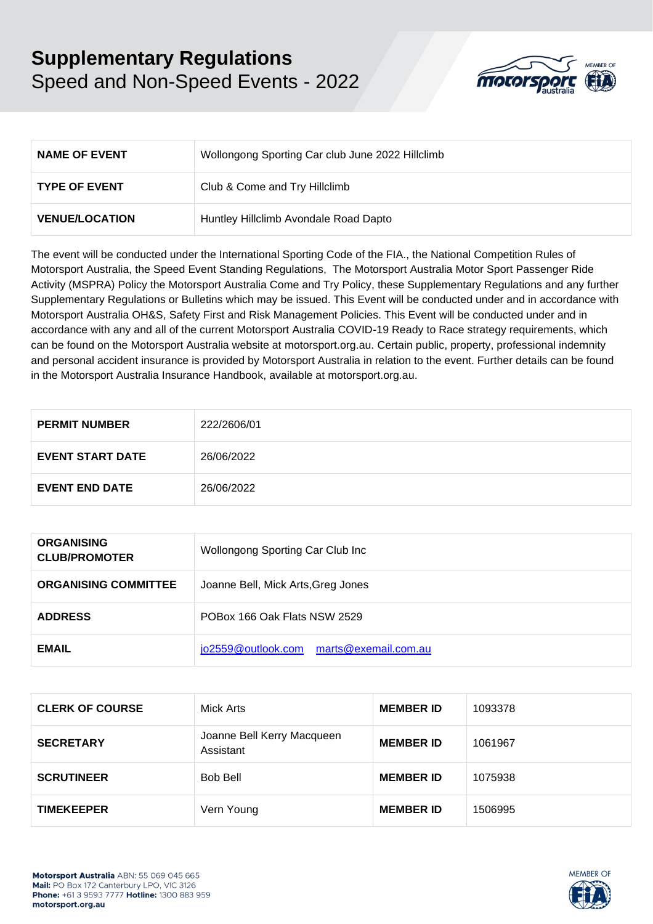## **Supplementary Regulations**  Speed and Non-Speed Events - 2022



| <b>NAME OF EVENT</b>  | Wollongong Sporting Car club June 2022 Hillclimb |
|-----------------------|--------------------------------------------------|
| <b>TYPE OF EVENT</b>  | Club & Come and Try Hillclimb                    |
| <b>VENUE/LOCATION</b> | Huntley Hillclimb Avondale Road Dapto            |

The event will be conducted under the International Sporting Code of the FIA., the National Competition Rules of Motorsport Australia, the Speed Event Standing Regulations, The Motorsport Australia Motor Sport Passenger Ride Activity (MSPRA) Policy the Motorsport Australia Come and Try Policy, these Supplementary Regulations and any further Supplementary Regulations or Bulletins which may be issued. This Event will be conducted under and in accordance with Motorsport Australia OH&S, Safety First and Risk Management Policies. This Event will be conducted under and in accordance with any and all of the current Motorsport Australia COVID-19 Ready to Race strategy requirements, which can be found on the Motorsport Australia website at [motorsport.org.au. C](http://www.motorsport.org.au/)ertain public, property, professional indemnity and personal accident insurance is provided by Motorsport Australia in relation to the event. Further details can be found in the Motorsport Australia Insurance Handbook, available at [motorsport.org.au.](http://www.motorsport.org.au/)

| <b>PERMIT NUMBER</b>    | 222/2606/01 |
|-------------------------|-------------|
| <b>EVENT START DATE</b> | 26/06/2022  |
| <b>EVENT END DATE</b>   | 26/06/2022  |

| <b>ORGANISING</b><br><b>CLUB/PROMOTER</b> | Wollongong Sporting Car Club Inc        |
|-------------------------------------------|-----------------------------------------|
| <b>ORGANISING COMMITTEE</b>               | Joanne Bell, Mick Arts, Greg Jones      |
| <b>ADDRESS</b>                            | POBox 166 Oak Flats NSW 2529            |
| <b>EMAIL</b>                              | jo2559@outlook.com marts@exemail.com.au |

| <b>CLERK OF COURSE</b> | Mick Arts                               | <b>MEMBER ID</b> | 1093378 |
|------------------------|-----------------------------------------|------------------|---------|
| <b>SECRETARY</b>       | Joanne Bell Kerry Macqueen<br>Assistant | <b>MEMBER ID</b> | 1061967 |
| <b>SCRUTINEER</b>      | <b>Bob Bell</b>                         | <b>MEMBER ID</b> | 1075938 |
| <b>TIMEKEEPER</b>      | Vern Young                              | <b>MEMBER ID</b> | 1506995 |

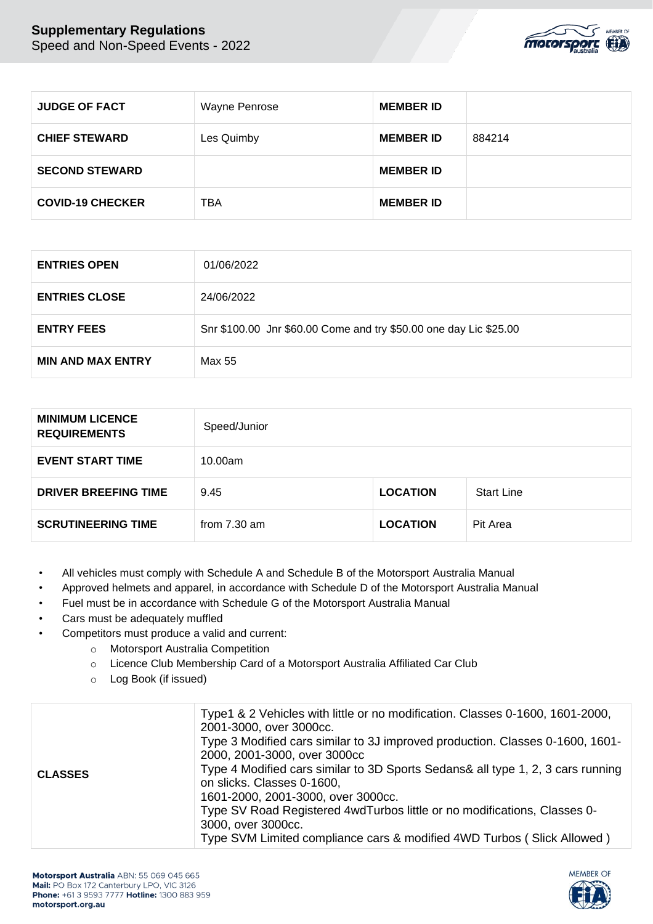

| <b>JUDGE OF FACT</b>    | <b>Wayne Penrose</b> | <b>MEMBER ID</b> |        |
|-------------------------|----------------------|------------------|--------|
| <b>CHIEF STEWARD</b>    | Les Quimby           | <b>MEMBER ID</b> | 884214 |
| <b>SECOND STEWARD</b>   |                      | <b>MEMBER ID</b> |        |
| <b>COVID-19 CHECKER</b> | <b>TBA</b>           | <b>MEMBER ID</b> |        |

| <b>ENTRIES OPEN</b>      | 01/06/2022                                                        |
|--------------------------|-------------------------------------------------------------------|
| <b>ENTRIES CLOSE</b>     | 24/06/2022                                                        |
| <b>ENTRY FEES</b>        | Snr \$100.00 Jnr \$60.00 Come and try \$50.00 one day Lic \$25.00 |
| <b>MIN AND MAX ENTRY</b> | Max 55                                                            |

| <b>MINIMUM LICENCE</b><br><b>REQUIREMENTS</b> | Speed/Junior           |                 |                   |
|-----------------------------------------------|------------------------|-----------------|-------------------|
| <b>EVENT START TIME</b>                       | 10.00am                |                 |                   |
| <b>DRIVER BREEFING TIME</b>                   | 9.45                   | <b>LOCATION</b> | <b>Start Line</b> |
| <b>SCRUTINEERING TIME</b>                     | from $7.30 \text{ am}$ | <b>LOCATION</b> | Pit Area          |

- All vehicles must comply with Schedule A and Schedule B of the Motorsport Australia Manual
- Approved helmets and apparel, in accordance with Schedule D of the Motorsport Australia Manual
- Fuel must be in accordance with Schedule G of the Motorsport Australia Manual
- Cars must be adequately muffled
- Competitors must produce a valid and current:
	- o Motorsport Australia Competition
	- o Licence Club Membership Card of a Motorsport Australia Affiliated Car Club
	- o Log Book (if issued)

| <b>CLASSES</b> | Type1 & 2 Vehicles with little or no modification. Classes 0-1600, 1601-2000,<br>2001-3000, over 3000cc.<br>Type 3 Modified cars similar to 3J improved production. Classes 0-1600, 1601-<br>2000, 2001-3000, over 3000cc<br>Type 4 Modified cars similar to 3D Sports Sedans& all type 1, 2, 3 cars running<br>on slicks. Classes 0-1600,<br>1601-2000, 2001-3000, over 3000cc.<br>Type SV Road Registered 4wdTurbos little or no modifications, Classes 0- |
|----------------|--------------------------------------------------------------------------------------------------------------------------------------------------------------------------------------------------------------------------------------------------------------------------------------------------------------------------------------------------------------------------------------------------------------------------------------------------------------|
|                | 3000, over 3000cc.<br>Type SVM Limited compliance cars & modified 4WD Turbos (Slick Allowed)                                                                                                                                                                                                                                                                                                                                                                 |